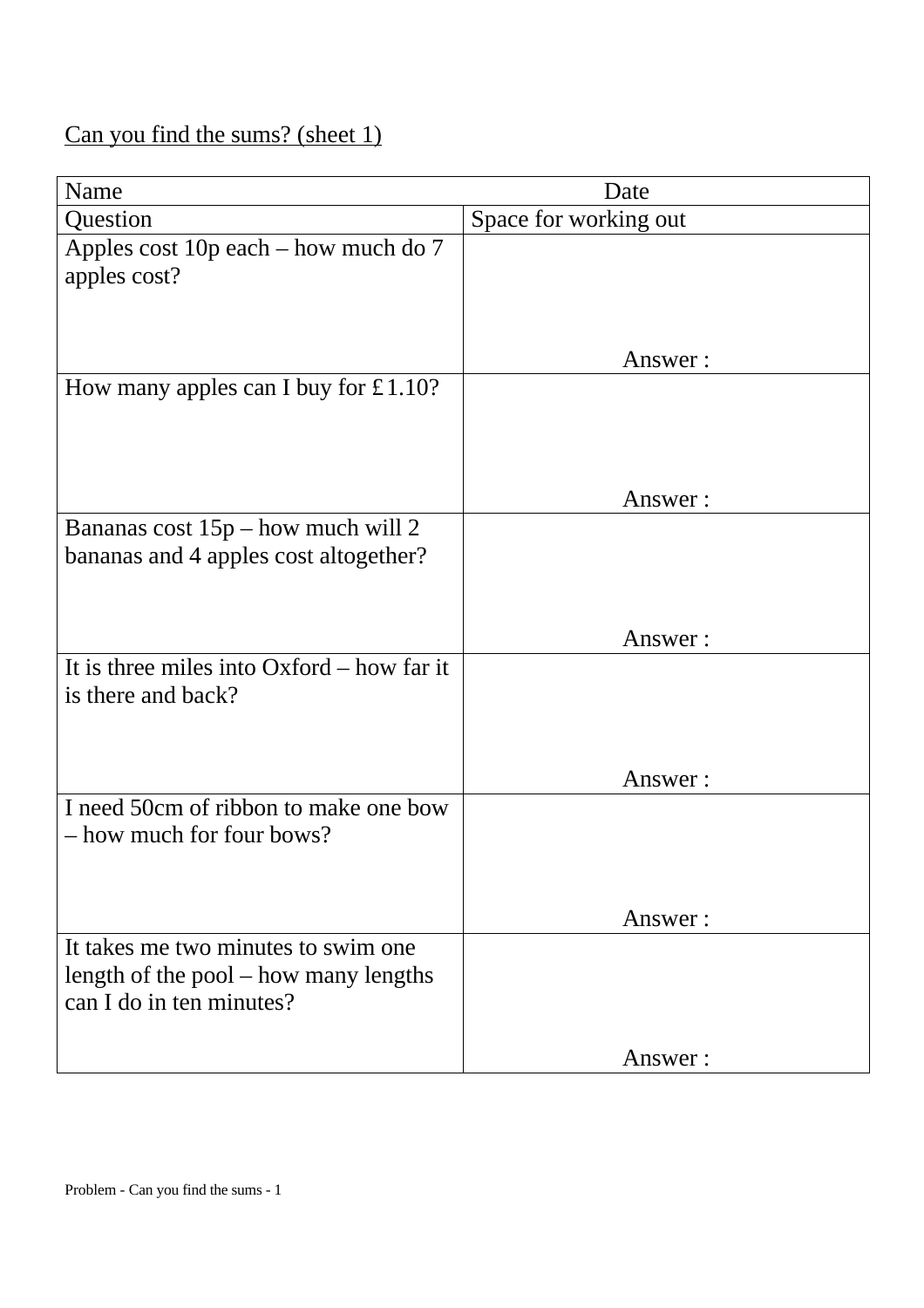# Can you find the sums? (sheet 1)

| Name                                                                                                     | Date                  |
|----------------------------------------------------------------------------------------------------------|-----------------------|
| Question                                                                                                 | Space for working out |
| Apples cost 10p each - how much do 7<br>apples cost?                                                     |                       |
|                                                                                                          | Answer:               |
| How many apples can I buy for $£1.10?$                                                                   |                       |
|                                                                                                          | Answer:               |
| Bananas cost $15p$ – how much will 2<br>bananas and 4 apples cost altogether?                            |                       |
|                                                                                                          | Answer:               |
| It is three miles into $Oxford - how$ far it<br>is there and back?                                       |                       |
|                                                                                                          | Answer:               |
| I need 50cm of ribbon to make one bow<br>- how much for four bows?                                       |                       |
|                                                                                                          | Answer:               |
| It takes me two minutes to swim one<br>length of the pool – how many lengths<br>can I do in ten minutes? |                       |
|                                                                                                          | Answer:               |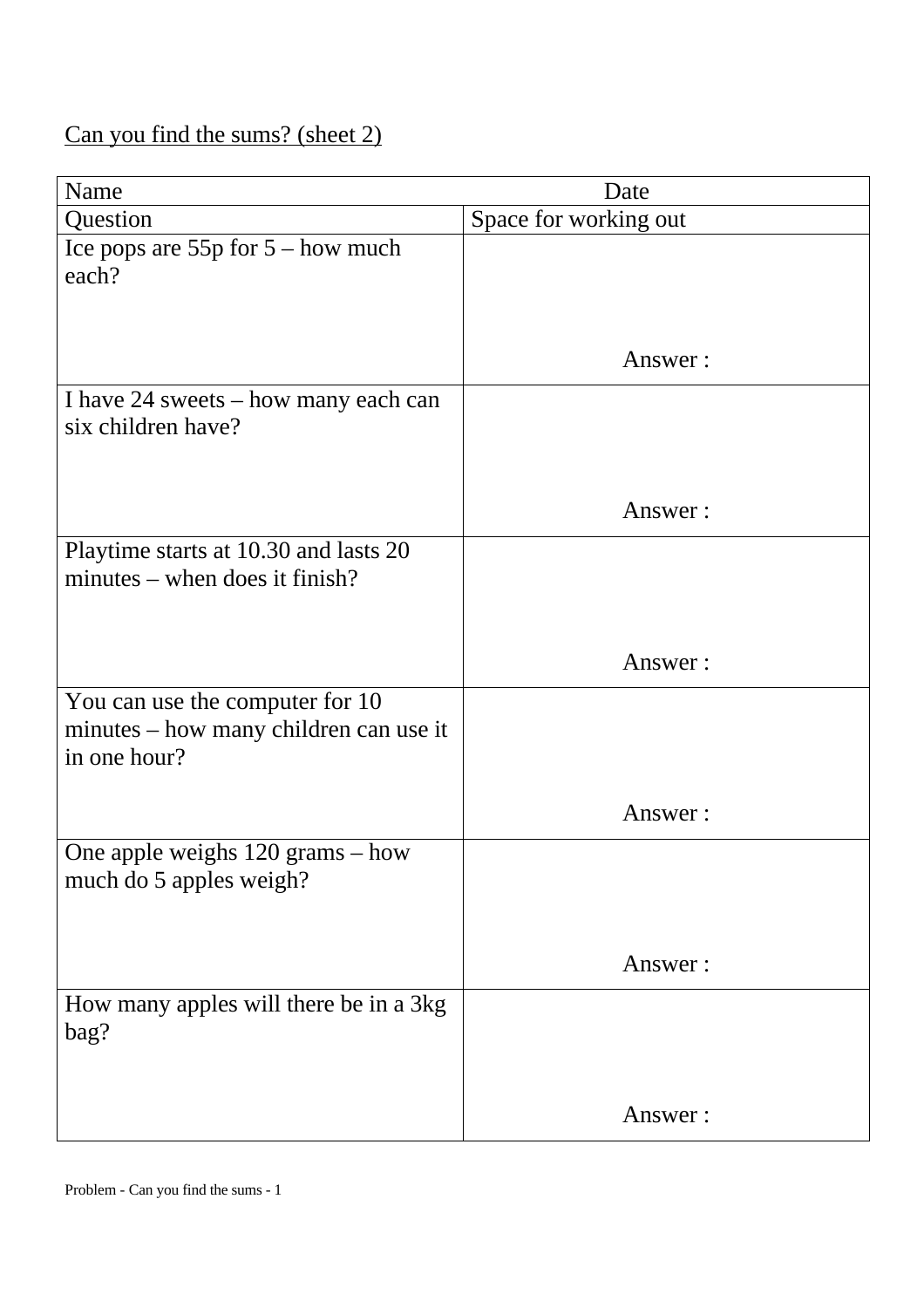# Can you find the sums? (sheet 2)

| Name                                                                                      | Date                  |
|-------------------------------------------------------------------------------------------|-----------------------|
| Question                                                                                  | Space for working out |
| Ice pops are $55p$ for $5 - how$ much<br>each?                                            |                       |
|                                                                                           | Answer:               |
| I have 24 sweets – how many each can<br>six children have?                                |                       |
|                                                                                           | Answer:               |
| Playtime starts at 10.30 and lasts 20<br>minutes – when does it finish?                   |                       |
|                                                                                           | Answer:               |
| You can use the computer for 10<br>minutes – how many children can use it<br>in one hour? |                       |
|                                                                                           | Answer:               |
| One apple weighs $120$ grams $-$ how<br>much do 5 apples weigh?                           |                       |
|                                                                                           | Answer:               |
| How many apples will there be in a 3kg<br>bag?                                            |                       |
|                                                                                           | Answer:               |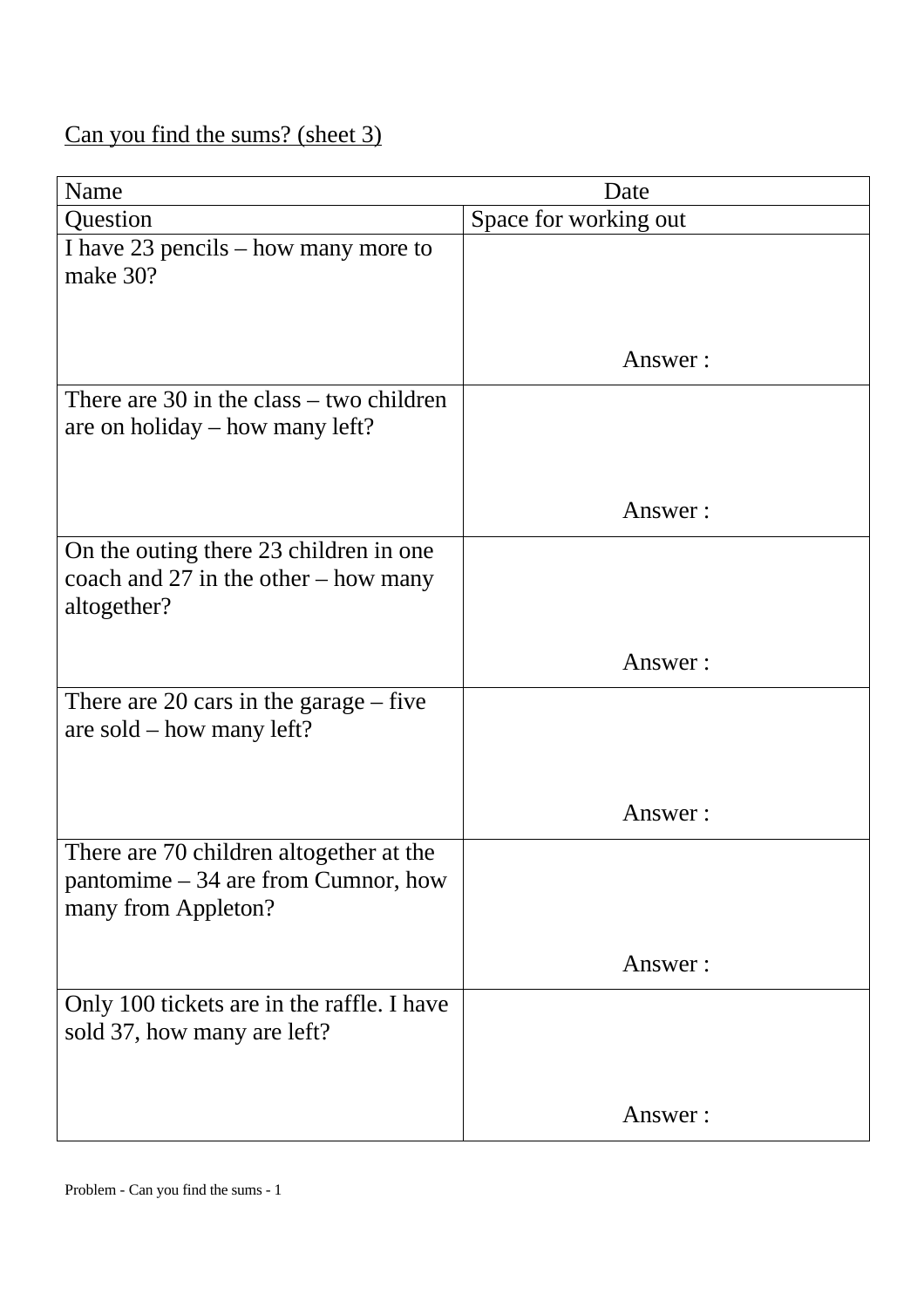# Can you find the sums? (sheet 3)

| Name                                                                                                   | Date                  |
|--------------------------------------------------------------------------------------------------------|-----------------------|
| Question                                                                                               | Space for working out |
| I have 23 pencils – how many more to<br>make 30?                                                       |                       |
|                                                                                                        | Answer:               |
| There are $30$ in the class $-$ two children<br>are on holiday – how many left?                        |                       |
|                                                                                                        | Answer:               |
| On the outing there 23 children in one<br>coach and $27$ in the other – how many<br>altogether?        |                       |
|                                                                                                        | Answer:               |
| There are 20 cars in the garage $-$ five<br>are sold $-$ how many left?                                |                       |
|                                                                                                        | Answer:               |
| There are 70 children altogether at the<br>pantomime $-34$ are from Cumnor, how<br>many from Appleton? |                       |
|                                                                                                        | Answer:               |
| Only 100 tickets are in the raffle. I have<br>sold 37, how many are left?                              |                       |
|                                                                                                        | Answer:               |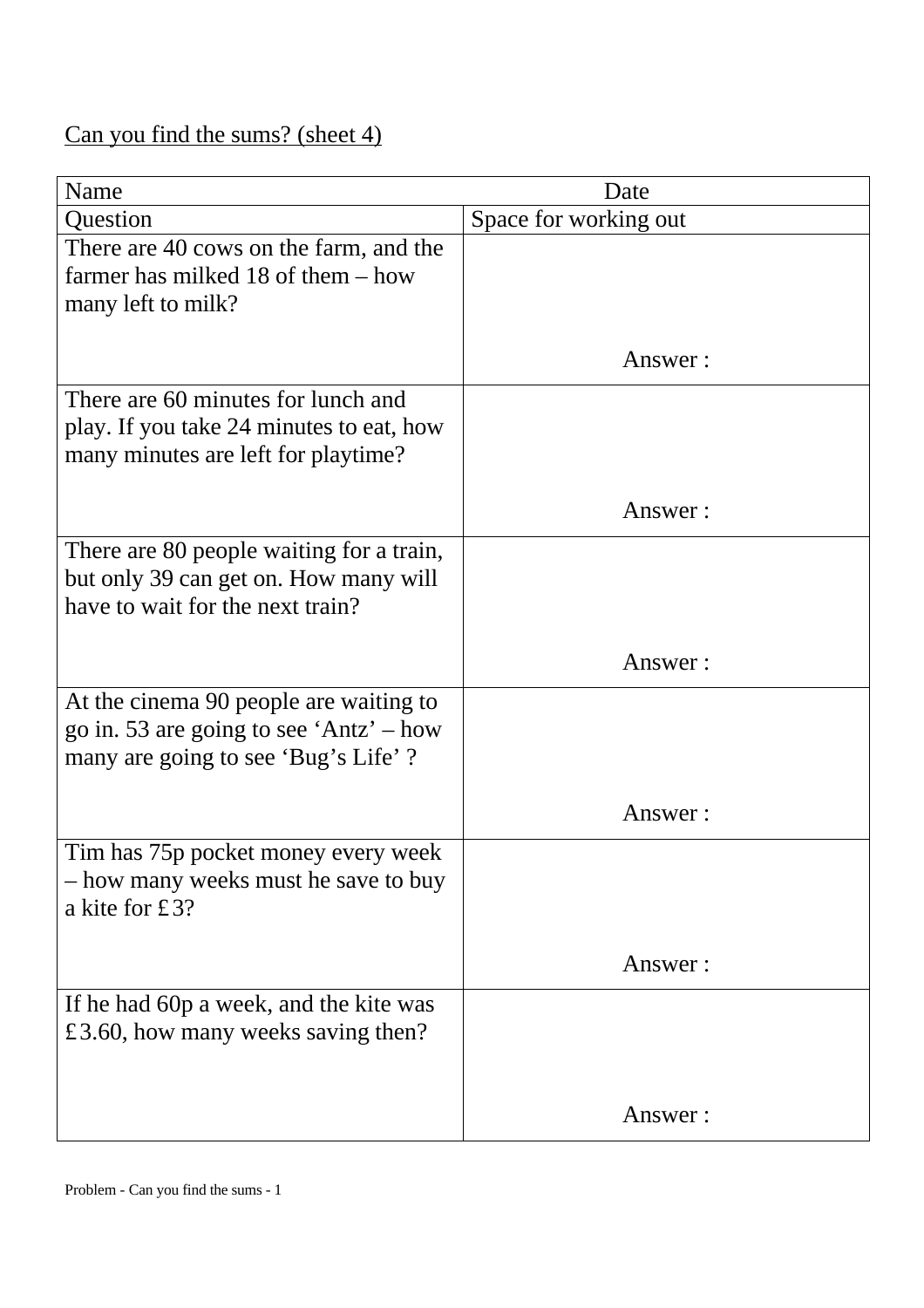# Can you find the sums? (sheet 4)

| Name                                     | Date                  |
|------------------------------------------|-----------------------|
| Question                                 | Space for working out |
| There are 40 cows on the farm, and the   |                       |
| farmer has milked 18 of them $-$ how     |                       |
| many left to milk?                       |                       |
|                                          |                       |
|                                          | Answer:               |
| There are 60 minutes for lunch and       |                       |
| play. If you take 24 minutes to eat, how |                       |
| many minutes are left for playtime?      |                       |
|                                          |                       |
|                                          | Answer:               |
| There are 80 people waiting for a train, |                       |
| but only 39 can get on. How many will    |                       |
| have to wait for the next train?         |                       |
|                                          |                       |
|                                          | Answer:               |
| At the cinema 90 people are waiting to   |                       |
| go in. 53 are going to see 'Antz' – how  |                       |
| many are going to see 'Bug's Life'?      |                       |
|                                          |                       |
|                                          | Answer:               |
| Tim has 75p pocket money every week      |                       |
| - how many weeks must he save to buy     |                       |
| a kite for £3?                           |                       |
|                                          |                       |
|                                          | Answer:               |
| If he had 60p a week, and the kite was   |                       |
| £3.60, how many weeks saving then?       |                       |
|                                          |                       |
|                                          | Answer:               |
|                                          |                       |